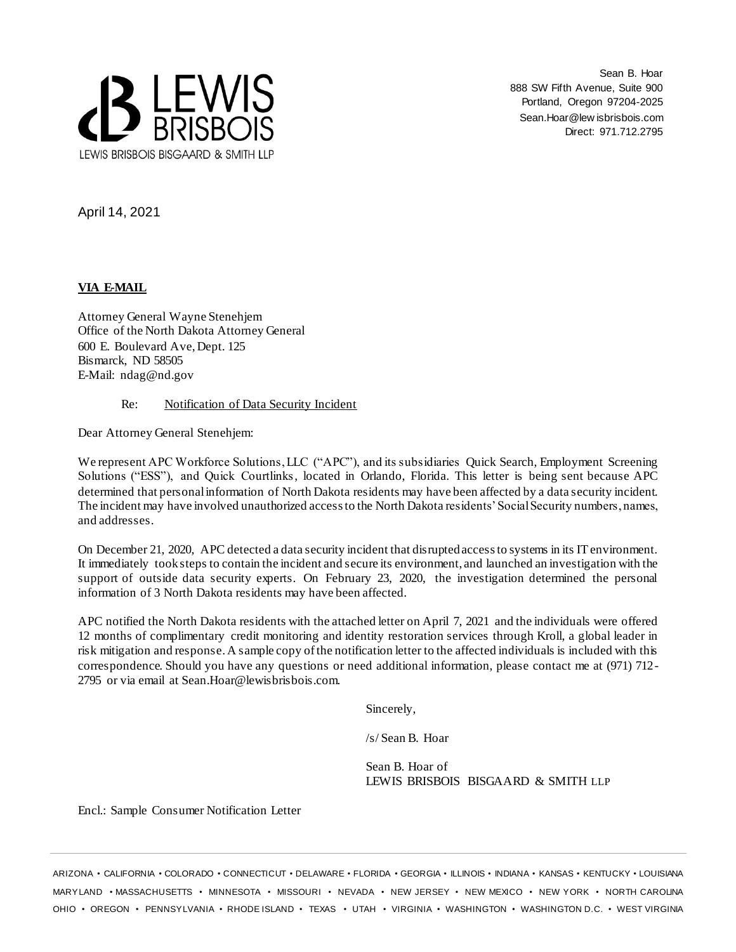

Sean B. Hoar 888 SW Fifth Avenue, Suite 900 Portland, Oregon 97204-2025 Sean.Hoar@lew isbrisbois.com Direct: 971.712.2795

April 14, 2021

# **VIA E-MAIL**

Attorney General Wayne Stenehjem Office of the North Dakota Attorney General 600 E. Boulevard Ave, Dept. 125 Bismarck, ND 58505 E-Mail: ndag@nd.gov

## Re: Notification of Data Security Incident

Dear Attorney General Stenehjem:

We represent APC Workforce Solutions, LLC ("APC"), and its subsidiaries Quick Search, Employment Screening Solutions ("ESS"), and Quick Courtlinks, located in Orlando, Florida. This letter is being sent because APC determined that personal information of North Dakota residents may have been affected by a data security incident. The incident may have involved unauthorized access to the North Dakota residents' Social Security numbers, names, and addresses.

On December 21, 2020, APC detected a data security incident that disrupted access to systems in its IT environment. It immediately took steps to contain the incident and secure its environment, and launched an investigation with the support of outside data security experts. On February 23, 2020, the investigation determined the personal information of 3 North Dakota residents may have been affected.

APC notified the North Dakota residents with the attached letter on April 7, 2021 and the individuals were offered 12 months of complimentary credit monitoring and identity restoration services through Kroll, a global leader in risk mitigation and response. A sample copy of the notification letter to the affected individuals is included with this correspondence. Should you have any questions or need additional information, please contact me at (971) 712- 2795 or via email at Sean.Hoar@lewisbrisbois.com.

Sincerely,

/s/ Sean B. Hoar

Sean B. Hoar of LEWIS BRISBOIS BISGAARD & SMITH LLP

Encl.: Sample Consumer Notification Letter

ARIZONA • CALIFORNIA • COLORADO • CONNECTICUT • DELAWARE • FLORIDA • GEORGIA • ILLINOIS • INDIANA • KANSAS • KENTUCKY • LOUISIANA MARYLAND • MASSACHUSETTS • MINNESOTA • MISSOURI • NEVADA • NEW JERSEY • NEW MEXICO • NEW YORK • NORTH CAROLINA OHIO • OREGON • PENNSYLVANIA • RHODE ISLAND • TEXAS • UTAH • VIRGINIA • WASHINGTON • WASHINGTON D.C. • WEST VIRGINIA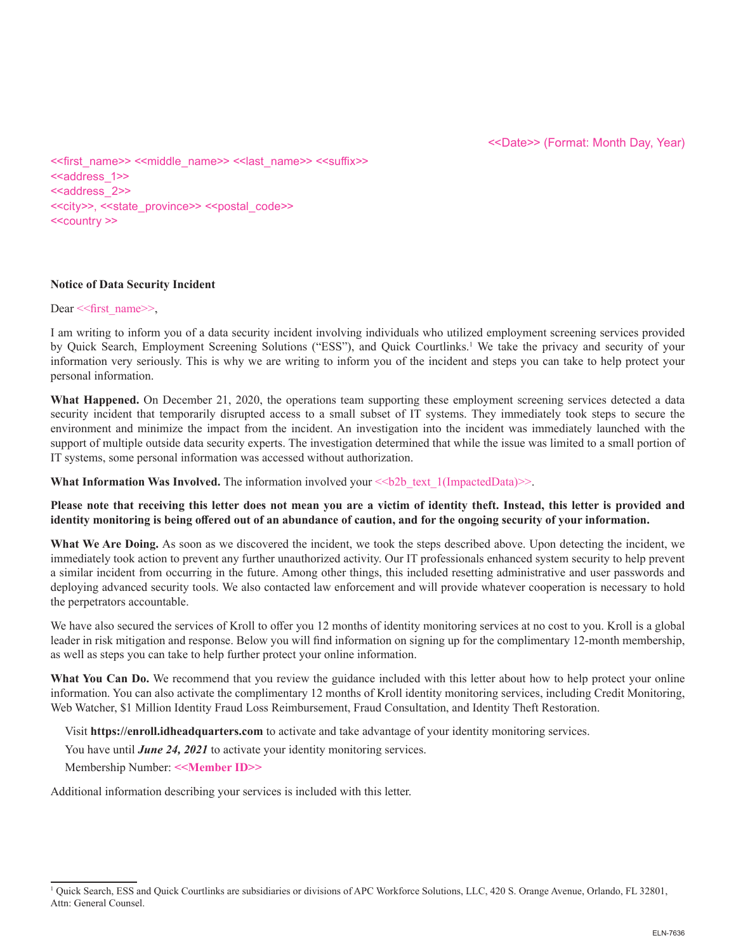<<first\_name>> <<middle\_name>> <<last\_name>> <<suffix>> <<address\_1>> <<address\_2>> <<city>>, <<state\_province>> <<postal\_code>> <<country >>

## **Notice of Data Security Incident**

#### Dear << first name >>,

I am writing to inform you of a data security incident involving individuals who utilized employment screening services provided by Quick Search, Employment Screening Solutions ("ESS"), and Quick Courtlinks.<sup>1</sup> We take the privacy and security of your information very seriously. This is why we are writing to inform you of the incident and steps you can take to help protect your personal information.

**What Happened.** On December 21, 2020, the operations team supporting these employment screening services detected a data security incident that temporarily disrupted access to a small subset of IT systems. They immediately took steps to secure the environment and minimize the impact from the incident. An investigation into the incident was immediately launched with the support of multiple outside data security experts. The investigation determined that while the issue was limited to a small portion of IT systems, some personal information was accessed without authorization.

**What Information Was Involved.** The information involved your  $\leq b2b$  text  $1(ImpactedData)$ 

**Please note that receiving this letter does not mean you are a victim of identity theft. Instead, this letter is provided and identity monitoring is being offered out of an abundance of caution, and for the ongoing security of your information.** 

**What We Are Doing.** As soon as we discovered the incident, we took the steps described above. Upon detecting the incident, we immediately took action to prevent any further unauthorized activity. Our IT professionals enhanced system security to help prevent a similar incident from occurring in the future. Among other things, this included resetting administrative and user passwords and deploying advanced security tools. We also contacted law enforcement and will provide whatever cooperation is necessary to hold the perpetrators accountable.

We have also secured the services of Kroll to offer you 12 months of identity monitoring services at no cost to you. Kroll is a global leader in risk mitigation and response. Below you will find information on signing up for the complimentary 12-month membership, as well as steps you can take to help further protect your online information.

**What You Can Do.** We recommend that you review the guidance included with this letter about how to help protect your online information. You can also activate the complimentary 12 months of Kroll identity monitoring services, including Credit Monitoring, Web Watcher, \$1 Million Identity Fraud Loss Reimbursement, Fraud Consultation, and Identity Theft Restoration.

Visit **https://enroll.idheadquarters.com** to activate and take advantage of your identity monitoring services.

You have until *June 24, 2021* to activate your identity monitoring services.

Membership Number: **<<Member ID>>**

Additional information describing your services is included with this letter.

<sup>&</sup>lt;sup>1</sup> Quick Search, ESS and Quick Courtlinks are subsidiaries or divisions of APC Workforce Solutions, LLC, 420 S. Orange Avenue, Orlando, FL 32801, Attn: General Counsel.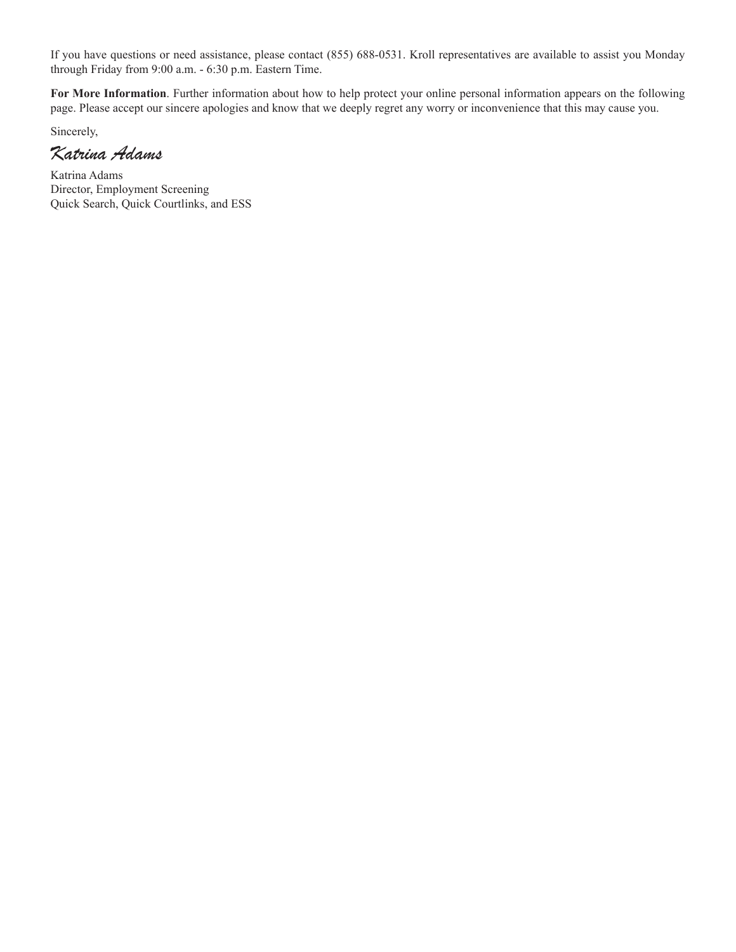If you have questions or need assistance, please contact (855) 688-0531. Kroll representatives are available to assist you Monday through Friday from 9:00 a.m. - 6:30 p.m. Eastern Time.

**For More Information**. Further information about how to help protect your online personal information appears on the following page. Please accept our sincere apologies and know that we deeply regret any worry or inconvenience that this may cause you.

Sincerely,

*Katrina Adams* 

Katrina Adams Director, Employment Screening Quick Search, Quick Courtlinks, and ESS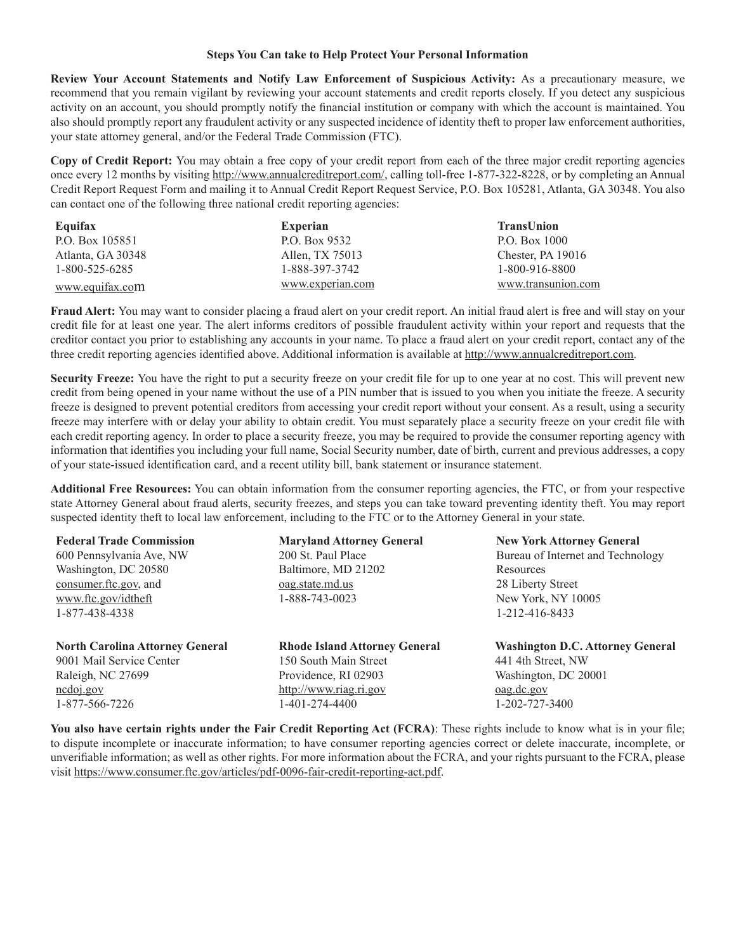#### **Steps You Can take to Help Protect Your Personal Information**

**Review Your Account Statements and Notify Law Enforcement of Suspicious Activity:** As a precautionary measure, we recommend that you remain vigilant by reviewing your account statements and credit reports closely. If you detect any suspicious activity on an account, you should promptly notify the financial institution or company with which the account is maintained. You also should promptly report any fraudulent activity or any suspected incidence of identity theft to proper law enforcement authorities, your state attorney general, and/or the Federal Trade Commission (FTC).

**Copy of Credit Report:** You may obtain a free copy of your credit report from each of the three major credit reporting agencies once every 12 months by visiting http://www.annualcreditreport.com/, calling toll-free 1-877-322-8228, or by completing an Annual Credit Report Request Form and mailing it to Annual Credit Report Request Service, P.O. Box 105281, Atlanta, GA 30348. You also can contact one of the following three national credit reporting agencies:

| Equifax           | <b>Experian</b>  | TransUnion          |
|-------------------|------------------|---------------------|
| P.O. Box 105851   | P.O. Box 9532    | P.O. Box 1000       |
| Atlanta, GA 30348 | Allen, TX 75013  | Chester, PA $19016$ |
| 1-800-525-6285    | 1-888-397-3742   | 1-800-916-8800      |
| www.equifax.com   | www.experian.com | www.transunion.com  |

**Fraud Alert:** You may want to consider placing a fraud alert on your credit report. An initial fraud alert is free and will stay on your credit file for at least one year. The alert informs creditors of possible fraudulent activity within your report and requests that the creditor contact you prior to establishing any accounts in your name. To place a fraud alert on your credit report, contact any of the three credit reporting agencies identified above. Additional information is available at http://www.annualcreditreport.com.

Security Freeze: You have the right to put a security freeze on your credit file for up to one year at no cost. This will prevent new credit from being opened in your name without the use of a PIN number that is issued to you when you initiate the freeze. A security freeze is designed to prevent potential creditors from accessing your credit report without your consent. As a result, using a security freeze may interfere with or delay your ability to obtain credit. You must separately place a security freeze on your credit file with each credit reporting agency. In order to place a security freeze, you may be required to provide the consumer reporting agency with information that identifies you including your full name, Social Security number, date of birth, current and previous addresses, a copy of your state-issued identification card, and a recent utility bill, bank statement or insurance statement.

**Additional Free Resources:** You can obtain information from the consumer reporting agencies, the FTC, or from your respective state Attorney General about fraud alerts, security freezes, and steps you can take toward preventing identity theft. You may report suspected identity theft to local law enforcement, including to the FTC or to the Attorney General in your state.

| <b>Federal Trade Commission</b>        | <b>Maryland Attorney General</b>     | <b>New York Attorney General</b>        |
|----------------------------------------|--------------------------------------|-----------------------------------------|
| 600 Pennsylvania Ave, NW               | 200 St. Paul Place                   | Bureau of Internet and Technology       |
| Washington, DC 20580                   | Baltimore, MD 21202                  | Resources                               |
| consumer.ftc.gov, and                  | <u>oag.state.md.us</u>               | 28 Liberty Street                       |
| www.ftc.gov/idtheft                    | 1-888-743-0023                       | New York, NY 10005                      |
| 1-877-438-4338                         |                                      | 1-212-416-8433                          |
| <b>North Carolina Attorney General</b> | <b>Rhode Island Attorney General</b> | <b>Washington D.C. Attorney General</b> |
| 9001 Mail Service Center               | 150 South Main Street                | 441 4th Street, NW                      |
| Raleigh, NC 27699                      | Providence, RI 02903                 | Washington, DC 20001                    |
| $n \cdot \text{colo}$                  | http://www.riag.ri.gov               | $oag.dc.gov$                            |
| 1-877-566-7226                         | 1-401-274-4400                       | 1-202-727-3400                          |

**You also have certain rights under the Fair Credit Reporting Act (FCRA)**: These rights include to know what is in your file; to dispute incomplete or inaccurate information; to have consumer reporting agencies correct or delete inaccurate, incomplete, or unverifiable information; as well as other rights. For more information about the FCRA, and your rights pursuant to the FCRA, please visit https://www.consumer.ftc.gov/articles/pdf-0096-fair-credit-reporting-act.pdf.